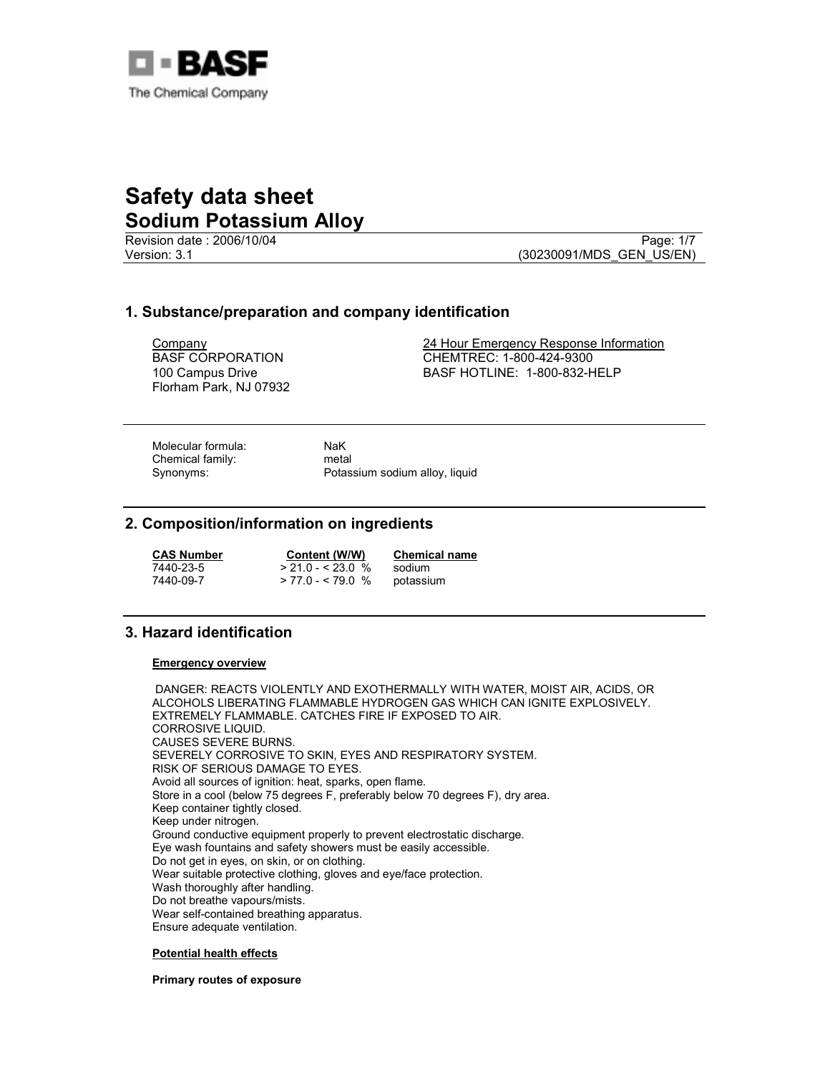

Revision date : 2006/10/04 Page: 1/7<br>Version: 3.1 (30230091/MDS GEN US/EN)

(30230091/MDS\_GEN\_US/EN)

## 1. Substance/preparation and company identification

Company BASF CORPORATION 100 Campus Drive Florham Park, NJ 07932

24 Hour Emergency Response Information CHEMTREC: 1-800-424-9300 BASF HOTLINE: 1-800-832-HELP

Molecular formula: NaK<br>
Chemical family: Chemical family: Chemical family:

Synonyms: Potassium sodium alloy, liquid

## 2. Composition/information on ingredients

| <b>CAS Number</b> | Content (W/W)      | <b>Chemical name</b> |
|-------------------|--------------------|----------------------|
| 7440-23-5         | $> 21.0 - 523.0$ % | sodium               |
| 7440-09-7         | $> 77.0 - 579.0$ % | potassium            |

# 3. Hazard identification

#### Emergency overview

 DANGER: REACTS VIOLENTLY AND EXOTHERMALLY WITH WATER, MOIST AIR, ACIDS, OR ALCOHOLS LIBERATING FLAMMABLE HYDROGEN GAS WHICH CAN IGNITE EXPLOSIVELY. EXTREMELY FLAMMABLE. CATCHES FIRE IF EXPOSED TO AIR. CORROSIVE LIQUID. CAUSES SEVERE BURNS. SEVERELY CORROSIVE TO SKIN, EYES AND RESPIRATORY SYSTEM. RISK OF SERIOUS DAMAGE TO EYES. Avoid all sources of ignition: heat, sparks, open flame. Store in a cool (below 75 degrees F, preferably below 70 degrees F), dry area. Keep container tightly closed. Keep under nitrogen. Ground conductive equipment properly to prevent electrostatic discharge. Eye wash fountains and safety showers must be easily accessible. Do not get in eyes, on skin, or on clothing. Wear suitable protective clothing, gloves and eye/face protection. Wash thoroughly after handling. Do not breathe vapours/mists. Wear self-contained breathing apparatus. Ensure adequate ventilation.

#### Potential health effects

Primary routes of exposure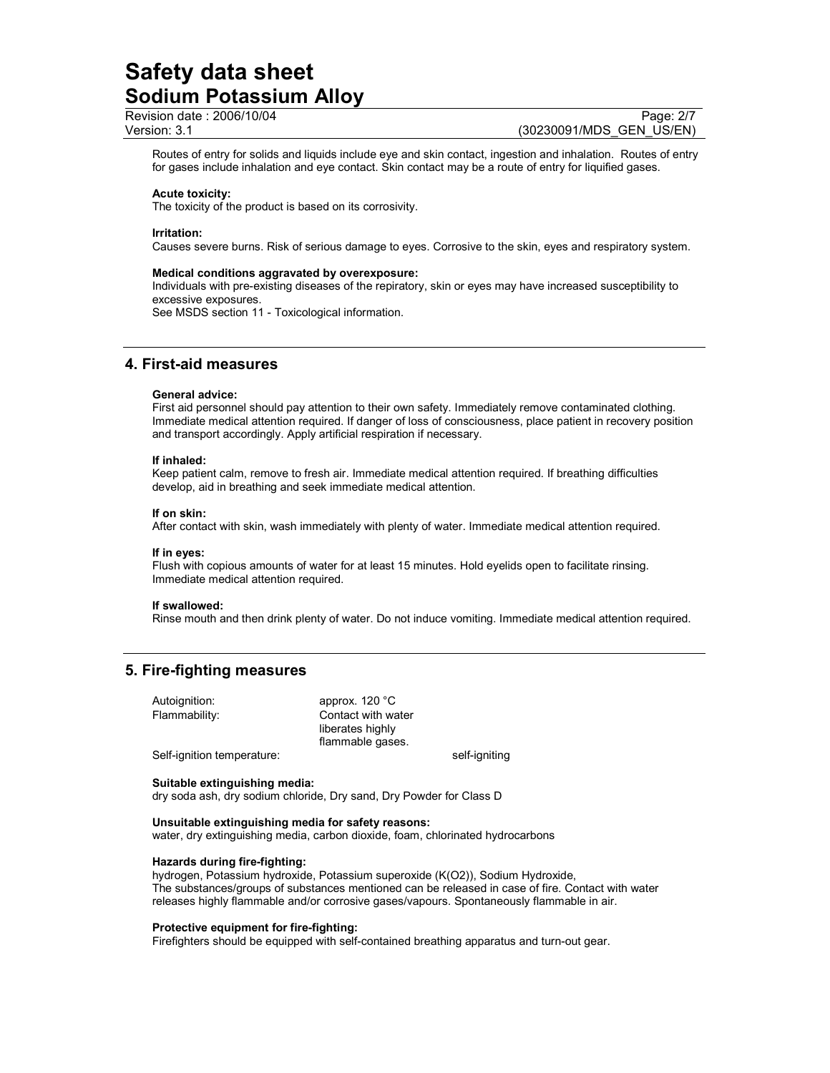Revision date : 2006/10/04 Page: 2/7

Version: 3.1 (30230091/MDS\_GEN\_US/EN)

Routes of entry for solids and liquids include eye and skin contact, ingestion and inhalation. Routes of entry for gases include inhalation and eye contact. Skin contact may be a route of entry for liquified gases.

#### Acute toxicity:

The toxicity of the product is based on its corrosivity.

#### Irritation:

Causes severe burns. Risk of serious damage to eyes. Corrosive to the skin, eyes and respiratory system.

#### Medical conditions aggravated by overexposure:

Individuals with pre-existing diseases of the repiratory, skin or eyes may have increased susceptibility to excessive exposures.

See MSDS section 11 - Toxicological information.

### 4. First-aid measures

#### General advice:

First aid personnel should pay attention to their own safety. Immediately remove contaminated clothing. Immediate medical attention required. If danger of loss of consciousness, place patient in recovery position and transport accordingly. Apply artificial respiration if necessary.

#### If inhaled:

Keep patient calm, remove to fresh air. Immediate medical attention required. If breathing difficulties develop, aid in breathing and seek immediate medical attention.

#### If on skin:

After contact with skin, wash immediately with plenty of water. Immediate medical attention required.

#### If in eyes:

Flush with copious amounts of water for at least 15 minutes. Hold eyelids open to facilitate rinsing. Immediate medical attention required.

#### If swallowed:

Rinse mouth and then drink plenty of water. Do not induce vomiting. Immediate medical attention required.

# 5. Fire-fighting measures

| Autoignition:              | approx. $120^{\circ}$ C |               |
|----------------------------|-------------------------|---------------|
| Flammability:              | Contact with water      |               |
|                            | liberates highly        |               |
|                            | flammable gases.        |               |
| Self-ignition temperature: |                         | self-igniting |

#### Suitable extinguishing media:

dry soda ash, dry sodium chloride, Dry sand, Dry Powder for Class D

#### Unsuitable extinguishing media for safety reasons:

water, dry extinguishing media, carbon dioxide, foam, chlorinated hydrocarbons

#### Hazards during fire-fighting:

hydrogen, Potassium hydroxide, Potassium superoxide (K(O2)), Sodium Hydroxide, The substances/groups of substances mentioned can be released in case of fire. Contact with water releases highly flammable and/or corrosive gases/vapours. Spontaneously flammable in air.

#### Protective equipment for fire-fighting:

Firefighters should be equipped with self-contained breathing apparatus and turn-out gear.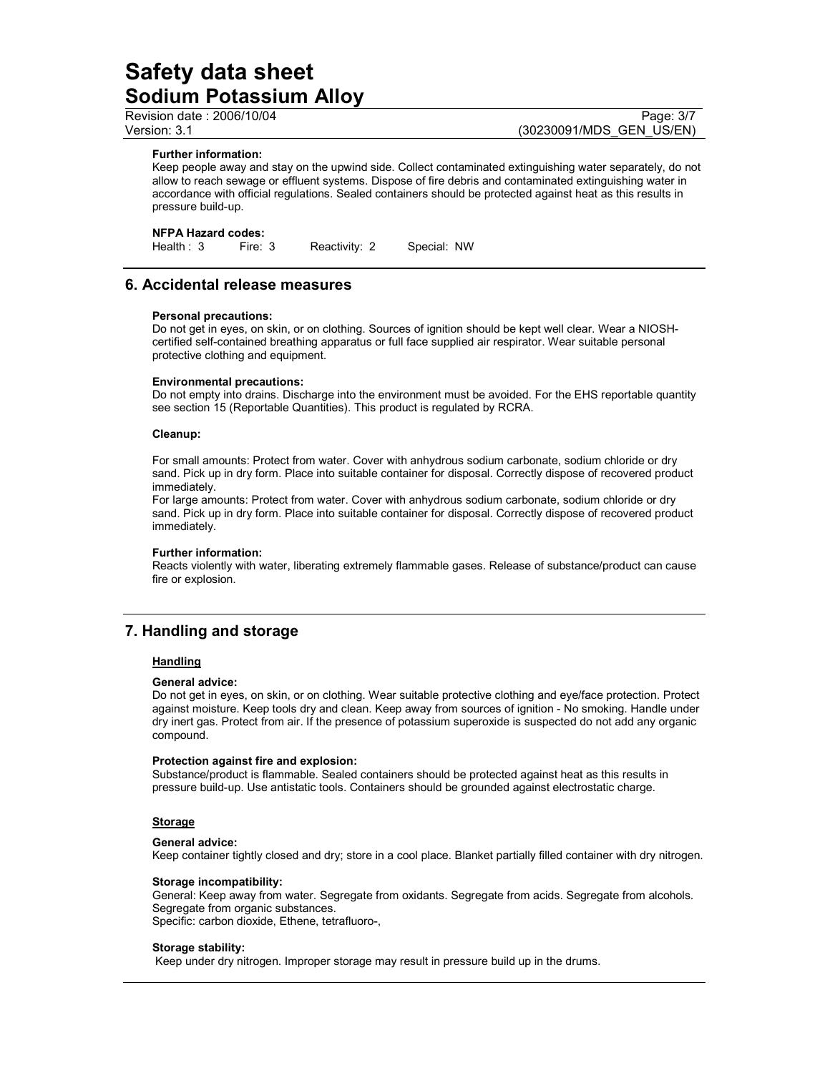Revision date : 2006/10/04 Page: 3/7

Version: 3.1 (30230091/MDS\_GEN\_US/EN)

### Further information:

Keep people away and stay on the upwind side. Collect contaminated extinguishing water separately, do not allow to reach sewage or effluent systems. Dispose of fire debris and contaminated extinguishing water in accordance with official regulations. Sealed containers should be protected against heat as this results in pressure build-up.

#### NFPA Hazard codes:

Health : 3 Fire: 3 Reactivity: 2 Special: NW

### 6. Accidental release measures

#### Personal precautions:

Do not get in eyes, on skin, or on clothing. Sources of ignition should be kept well clear. Wear a NIOSHcertified self-contained breathing apparatus or full face supplied air respirator. Wear suitable personal protective clothing and equipment.

#### Environmental precautions:

Do not empty into drains. Discharge into the environment must be avoided. For the EHS reportable quantity see section 15 (Reportable Quantities). This product is regulated by RCRA.

#### Cleanup:

For small amounts: Protect from water. Cover with anhydrous sodium carbonate, sodium chloride or dry sand. Pick up in dry form. Place into suitable container for disposal. Correctly dispose of recovered product immediately.

For large amounts: Protect from water. Cover with anhydrous sodium carbonate, sodium chloride or dry sand. Pick up in dry form. Place into suitable container for disposal. Correctly dispose of recovered product immediately.

#### Further information:

Reacts violently with water, liberating extremely flammable gases. Release of substance/product can cause fire or explosion.

# 7. Handling and storage

#### **Handling**

#### General advice:

Do not get in eyes, on skin, or on clothing. Wear suitable protective clothing and eye/face protection. Protect against moisture. Keep tools dry and clean. Keep away from sources of ignition - No smoking. Handle under dry inert gas. Protect from air. If the presence of potassium superoxide is suspected do not add any organic compound.

#### Protection against fire and explosion:

Substance/product is flammable. Sealed containers should be protected against heat as this results in pressure build-up. Use antistatic tools. Containers should be grounded against electrostatic charge.

#### **Storage**

#### General advice:

Keep container tightly closed and dry; store in a cool place. Blanket partially filled container with dry nitrogen.

#### Storage incompatibility:

General: Keep away from water. Segregate from oxidants. Segregate from acids. Segregate from alcohols. Segregate from organic substances. Specific: carbon dioxide, Ethene, tetrafluoro-,

#### Storage stability:

Keep under dry nitrogen. Improper storage may result in pressure build up in the drums.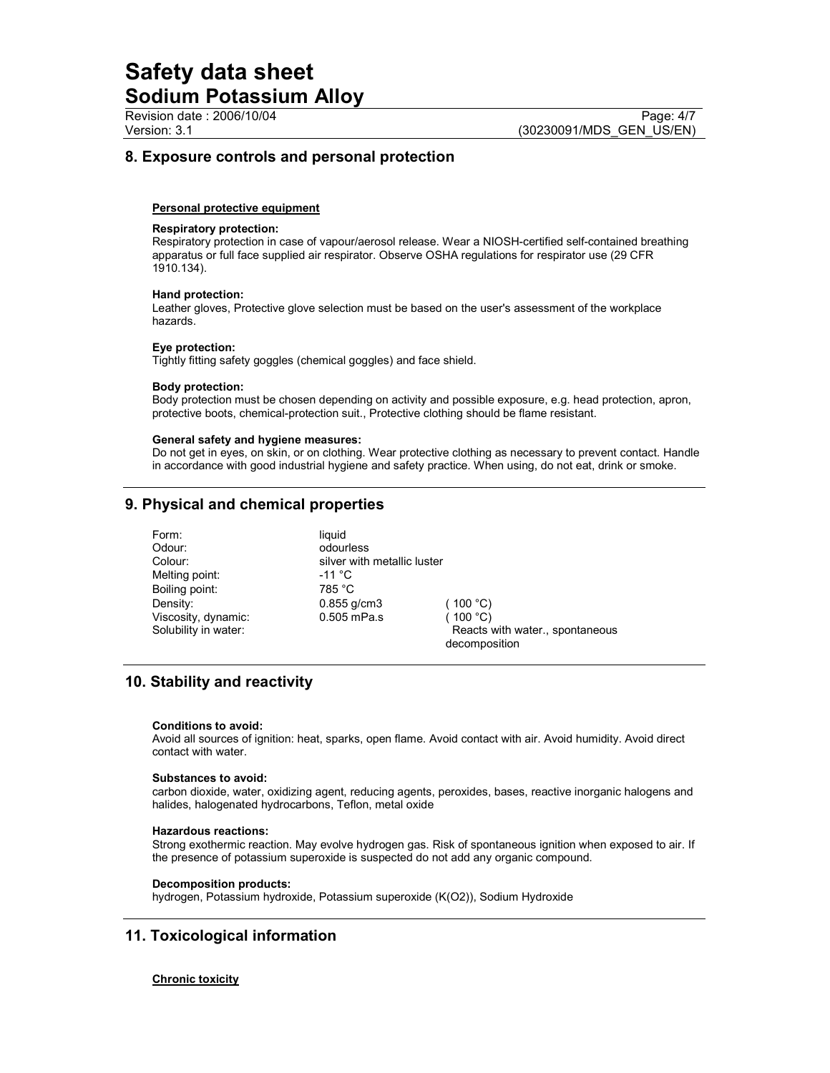# 8. Exposure controls and personal protection

#### Personal protective equipment

#### Respiratory protection:

Respiratory protection in case of vapour/aerosol release. Wear a NIOSH-certified self-contained breathing apparatus or full face supplied air respirator. Observe OSHA regulations for respirator use (29 CFR 1910.134).

#### Hand protection:

Leather gloves, Protective glove selection must be based on the user's assessment of the workplace hazards.

#### Eye protection:

Tightly fitting safety goggles (chemical goggles) and face shield.

#### Body protection:

Body protection must be chosen depending on activity and possible exposure, e.g. head protection, apron, protective boots, chemical-protection suit., Protective clothing should be flame resistant.

#### General safety and hygiene measures:

Do not get in eyes, on skin, or on clothing. Wear protective clothing as necessary to prevent contact. Handle in accordance with good industrial hygiene and safety practice. When using, do not eat, drink or smoke.

# 9. Physical and chemical properties

Form: liquid<br>Odour: liquid odour Melting point: 11 °C Boiling point: 785 °C

odourless Colour: silver with metallic luster Density: 0.855 g/cm3 (100 °C) Viscosity, dynamic: 0.505 mPa.s (100 °C)

Solubility in water:  $\qquad \qquad$  Reacts with water., spontaneous decomposition

# 10. Stability and reactivity

#### Conditions to avoid:

Avoid all sources of ignition: heat, sparks, open flame. Avoid contact with air. Avoid humidity. Avoid direct contact with water.

#### Substances to avoid:

carbon dioxide, water, oxidizing agent, reducing agents, peroxides, bases, reactive inorganic halogens and halides, halogenated hydrocarbons, Teflon, metal oxide

#### Hazardous reactions:

Strong exothermic reaction. May evolve hydrogen gas. Risk of spontaneous ignition when exposed to air. If the presence of potassium superoxide is suspected do not add any organic compound.

#### Decomposition products:

hydrogen, Potassium hydroxide, Potassium superoxide (K(O2)), Sodium Hydroxide

### 11. Toxicological information

#### Chronic toxicity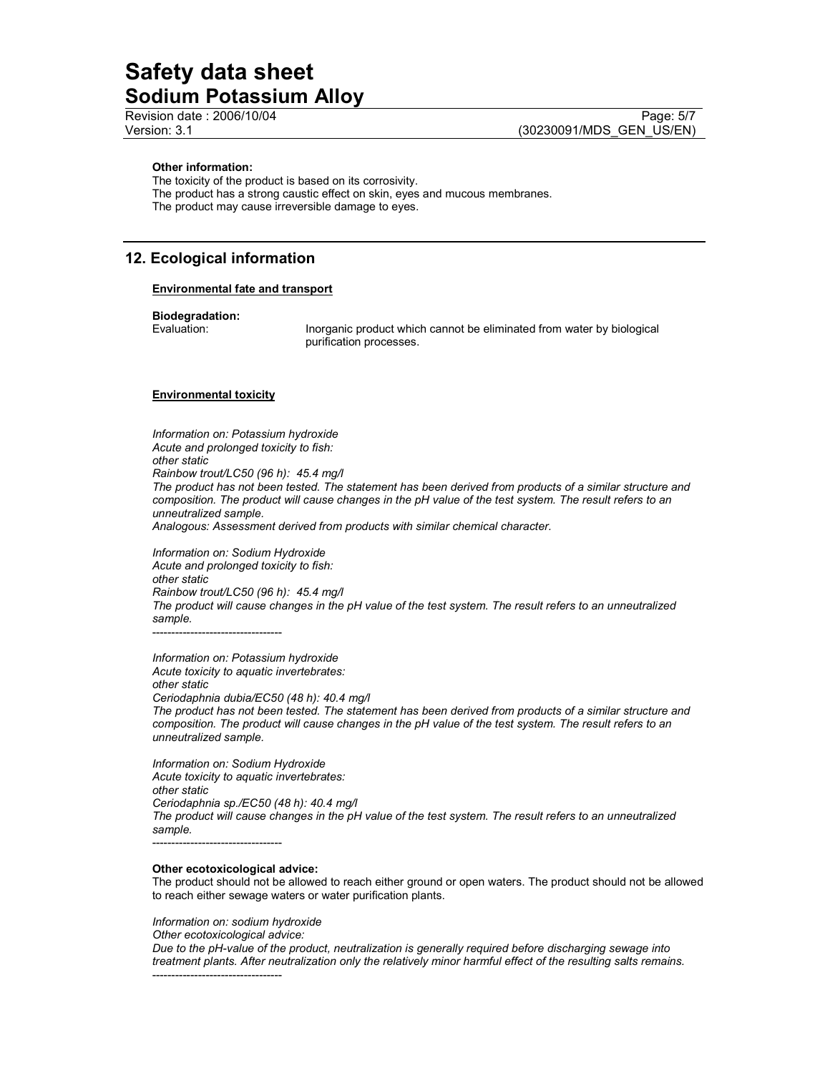#### Other information:

The toxicity of the product is based on its corrosivity. The product has a strong caustic effect on skin, eyes and mucous membranes. The product may cause irreversible damage to eyes.

### 12. Ecological information

#### Environmental fate and transport

# **Biodegradation:**<br>Evaluation:

Inorganic product which cannot be eliminated from water by biological purification processes.

#### Environmental toxicity

Information on: Potassium hydroxide Acute and prolonged toxicity to fish: other static Rainbow trout/LC50 (96 h): 45.4 mg/l The product has not been tested. The statement has been derived from products of a similar structure and composition. The product will cause changes in the pH value of the test system. The result refers to an unneutralized sample. Analogous: Assessment derived from products with similar chemical character. Information on: Sodium Hydroxide

Acute and prolonged toxicity to fish: other static Rainbow trout/LC50 (96 h): 45.4 mg/l The product will cause changes in the pH value of the test system. The result refers to an unneutralized sample. ----------------------------------

Information on: Potassium hydroxide Acute toxicity to aquatic invertebrates: other static Ceriodaphnia dubia/EC50 (48 h): 40.4 mg/l

The product has not been tested. The statement has been derived from products of a similar structure and composition. The product will cause changes in the pH value of the test system. The result refers to an unneutralized sample.

Information on: Sodium Hydroxide Acute toxicity to aquatic invertebrates: other static Ceriodaphnia sp./EC50 (48 h): 40.4 mg/l The product will cause changes in the pH value of the test system. The result refers to an unneutralized sample. ----------------------------------

#### Other ecotoxicological advice:

The product should not be allowed to reach either ground or open waters. The product should not be allowed to reach either sewage waters or water purification plants.

Information on: sodium hydroxide

Other ecotoxicological advice: Due to the pH-value of the product, neutralization is generally required before discharging sewage into treatment plants. After neutralization only the relatively minor harmful effect of the resulting salts remains. ----------------------------------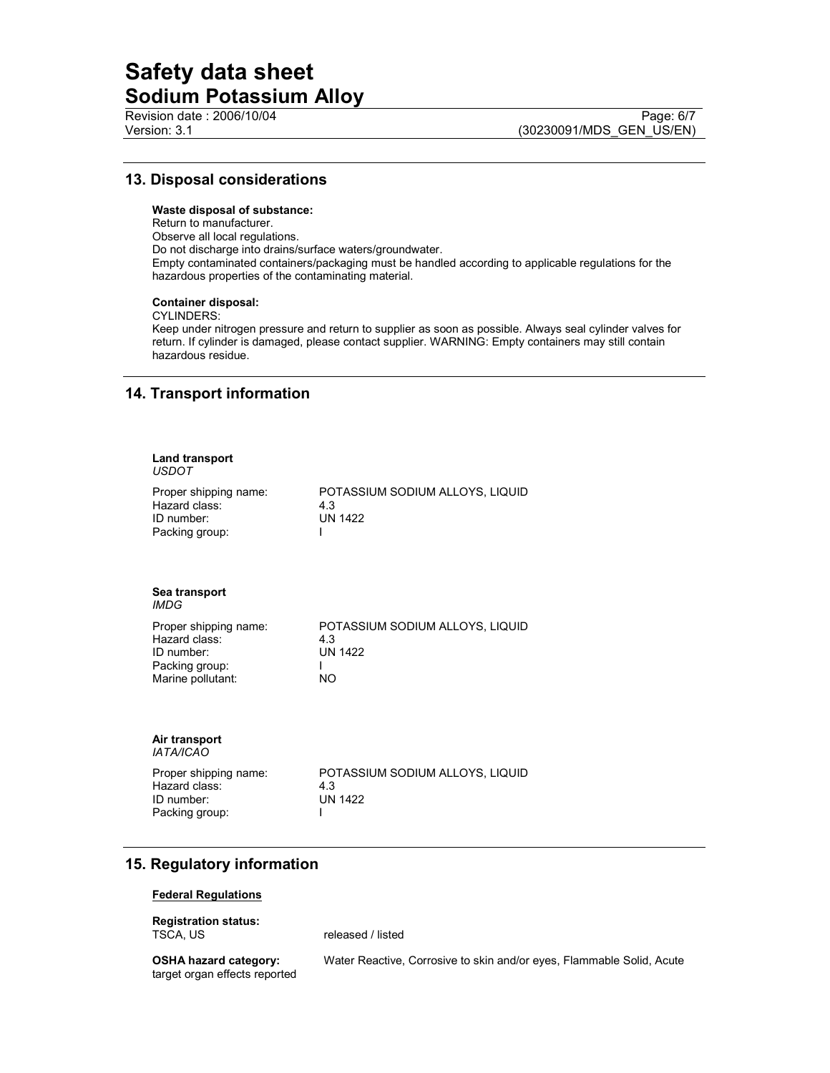## 13. Disposal considerations

#### Waste disposal of substance:

Return to manufacturer. Observe all local regulations. Do not discharge into drains/surface waters/groundwater. Empty contaminated containers/packaging must be handled according to applicable regulations for the hazardous properties of the contaminating material.

#### Container disposal:

CYLINDERS:

Keep under nitrogen pressure and return to supplier as soon as possible. Always seal cylinder valves for return. If cylinder is damaged, please contact supplier. WARNING: Empty containers may still contain hazardous residue.

# 14. Transport information

| <b>Land transport</b>                                                                       |                                                                 |
|---------------------------------------------------------------------------------------------|-----------------------------------------------------------------|
| <b>USDOT</b>                                                                                |                                                                 |
| Proper shipping name:<br>Hazard class:<br>$ID$ number:<br>Packing group:                    | POTASSIUM SODIUM ALLOYS, LIQUID<br>4.3<br><b>UN 1422</b>        |
| Sea transport<br><b>IMDG</b>                                                                |                                                                 |
| Proper shipping name:<br>Hazard class:<br>ID number:<br>Packing group:<br>Marine pollutant: | POTASSIUM SODIUM ALLOYS, LIQUID<br>4.3<br><b>UN 1422</b><br>NO. |
| Air transport<br><b>IATA/ICAO</b>                                                           |                                                                 |
| Proper shipping name:<br>Hazard class:<br>ID number:<br>Packing group:                      | POTASSIUM SODIUM ALLOYS, LIQUID<br>4.3<br><b>UN 1422</b>        |

# 15. Regulatory information

#### Federal Regulations

Registration status:<br>TSCA, US

released / listed

target organ effects reported

OSHA hazard category: Water Reactive, Corrosive to skin and/or eyes, Flammable Solid, Acute